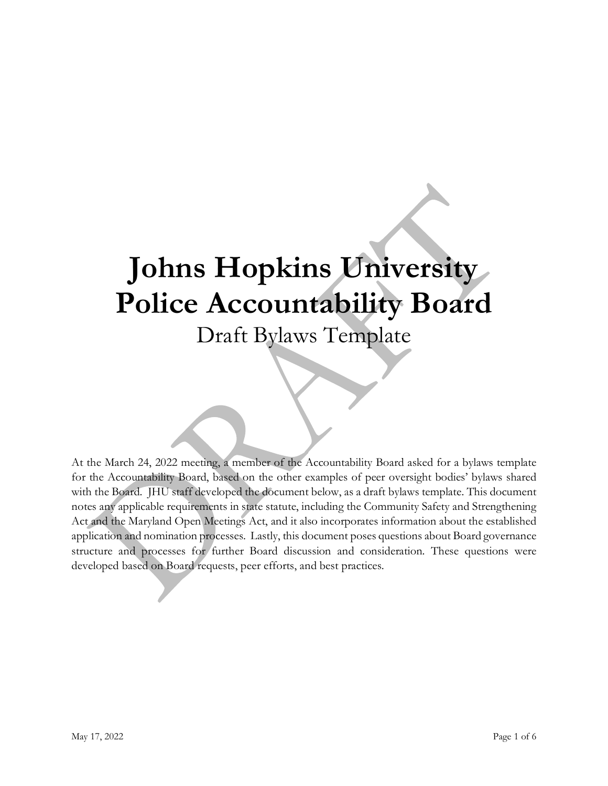# **Johns Hopkins University Police Accountability Board** Draft Bylaws Template

At the March 24, 2022 meeting, a member of the Accountability Board asked for a bylaws template for the Accountability Board, based on the other examples of peer oversight bodies' bylaws shared with the Board. JHU staff developed the document below, as a draft bylaws template. This document notes any applicable requirements in state statute, including the Community Safety and Strengthening Act and the Maryland Open Meetings Act, and it also incorporates information about the established application and nomination processes. Lastly, this document poses questions about Board governance structure and processes for further Board discussion and consideration. These questions were developed based on Board requests, peer efforts, and best practices.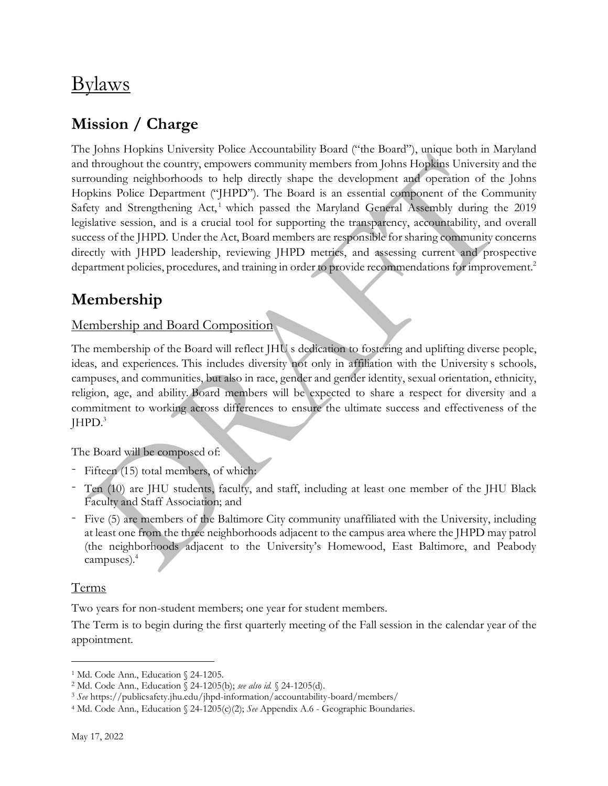## Bylaws

### **Mission / Charge**

The Johns Hopkins University Police Accountability Board ("the Board"), unique both in Maryland and throughout the country, empowers community members from Johns Hopkins University and the surrounding neighborhoods to help directly shape the development and operation of the Johns Hopkins Police Department ("JHPD"). The Board is an essential component of the Community Safety and Strengthening Act,<sup>1</sup> which passed the Maryland General Assembly during the  $2019$ legislative session, and is a crucial tool for supporting the transparency, accountability, and overall success of the JHPD. Under the Act, Board members are responsible for sharing community concerns directly with JHPD leadership, reviewing JHPD metrics, and assessing current and prospective department policies, procedures, and training in order to provide recommendations for improvement.<sup>2</sup>

### **Membership**

#### Membership and Board Composition

The membership of the Board will reflect JHU s dedication to fostering and uplifting diverse people, ideas, and experiences. This includes diversity not only in affiliation with the University s schools, campuses, and communities, but also in race, gender and gender identity, sexual orientation, ethnicity, religion, age, and ability. Board members will be expected to share a respect for diversity and a commitment to working across differences to ensure the ultimate success and effectiveness of the  $HPD.<sup>3</sup>$ 

The Board will be composed of:

- Fifteen (15) total members, of which:
- Ten (10) are JHU students, faculty, and staff, including at least one member of the JHU Black Faculty and Staff Association; and
- Five (5) are members of the Baltimore City community unaffiliated with the University, including at least one from the three neighborhoods adjacent to the campus area where the JHPD may patrol (the neighborhoods adjacent to the University's Homewood, East Baltimore, and Peabody campuses). 4

#### Terms

Two years for non-student members; one year for student members.

The Term is to begin during the first quarterly meeting of the Fall session in the calendar year of the appointment.

<sup>&</sup>lt;sup>1</sup> Md. Code Ann., Education § 24-1205.

<sup>2</sup> Md. Code Ann., Education § 24-1205(b); *see also id.* § 24-1205(d).

<sup>3</sup> *See* https://publicsafety.jhu.edu/jhpd-information/accountability-board/members/

<sup>4</sup> Md. Code Ann., Education § 24-1205(c)(2); *See* Appendix A.6 - Geographic Boundaries.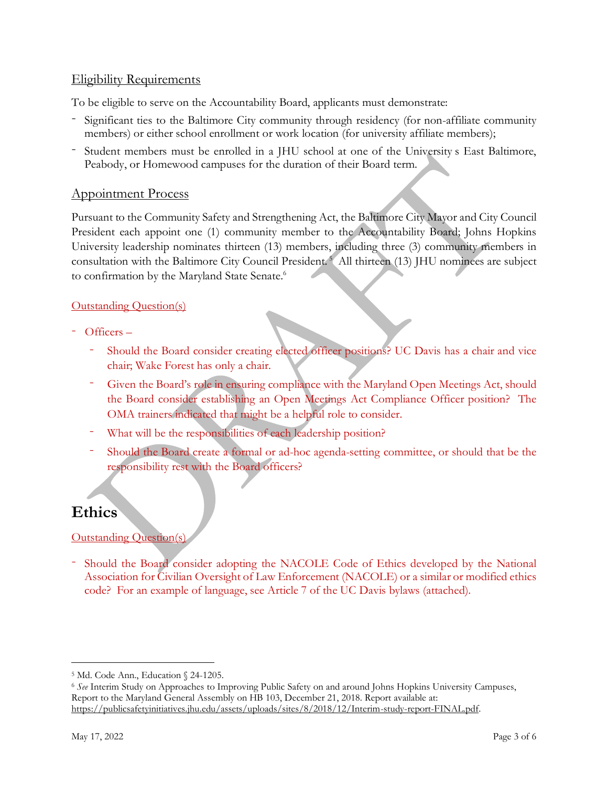#### Eligibility Requirements

To be eligible to serve on the Accountability Board, applicants must demonstrate:

- Significant ties to the Baltimore City community through residency (for non-affiliate community members) or either school enrollment or work location (for university affiliate members);
- Student members must be enrolled in a JHU school at one of the University s East Baltimore, Peabody, or Homewood campuses for the duration of their Board term.

#### Appointment Process

Pursuant to the Community Safety and Strengthening Act, the Baltimore City Mayor and City Council President each appoint one (1) community member to the Accountability Board; Johns Hopkins University leadership nominates thirteen (13) members, including three (3) community members in consultation with the Baltimore City Council President. <sup>5</sup> All thirteen (13) JHU nominees are subject to confirmation by the Maryland State Senate.<sup>6</sup>

#### Outstanding Question(s)

- Officers
	- Should the Board consider creating elected officer positions? UC Davis has a chair and vice chair; Wake Forest has only a chair.
	- Given the Board's role in ensuring compliance with the Maryland Open Meetings Act, should the Board consider establishing an Open Meetings Act Compliance Officer position? The OMA trainers indicated that might be a helpful role to consider.
	- What will be the responsibilities of each leadership position?
	- Should the Board create a formal or ad-hoc agenda-setting committee, or should that be the responsibility rest with the Board officers?

### **Ethics**

#### Outstanding Question(s)

- Should the Board consider adopting the NACOLE Code of Ethics developed by the National Association for Civilian Oversight of Law Enforcement (NACOLE) or a similar or modified ethics code? For an example of language, see Article 7 of the UC Davis bylaws (attached).

<sup>5</sup> Md. Code Ann., Education § 24-1205.

<sup>6</sup> *See* Interim Study on Approaches to Improving Public Safety on and around Johns Hopkins University Campuses, Report to the Maryland General Assembly on HB 103, December 21, 2018. Report available at: [https://publicsafetyinitiatives.jhu.edu/assets/uploads/sites/8/2018/12/Interim-study-report-FINAL.pdf.](https://publicsafetyinitiatives.jhu.edu/assets/uploads/sites/8/2018/12/Interim-study-report-FINAL.pdf)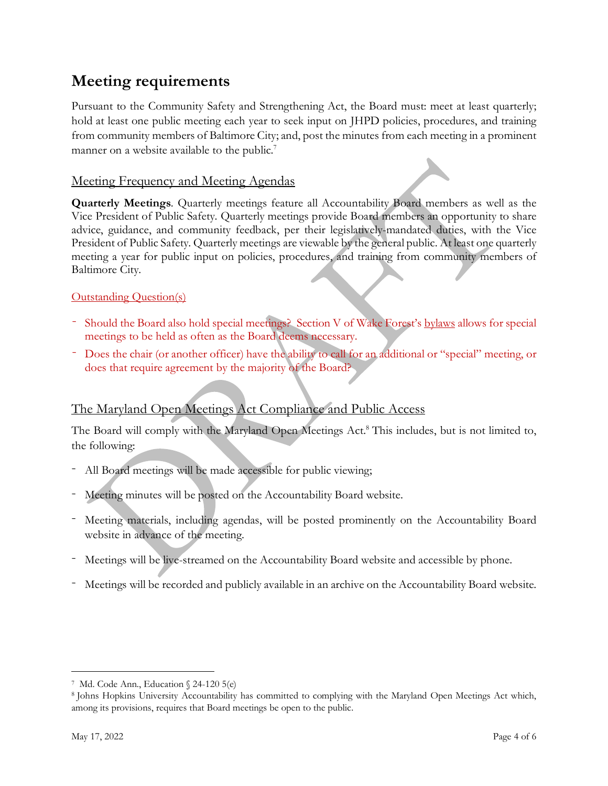### **Meeting requirements**

Pursuant to the Community Safety and Strengthening Act, the Board must: meet at least quarterly; hold at least one public meeting each year to seek input on JHPD policies, procedures, and training from community members of Baltimore City; and, post the minutes from each meeting in a prominent manner on a website available to the public.<sup>7</sup>

#### Meeting Frequency and Meeting Agendas

**Quarterly Meetings**. Quarterly meetings feature all Accountability Board members as well as the Vice President of Public Safety. Quarterly meetings provide Board members an opportunity to share advice, guidance, and community feedback, per their legislatively-mandated duties, with the Vice President of Public Safety. Quarterly meetings are viewable by the general public. At least one quarterly meeting a year for public input on policies, procedures, and training from community members of Baltimore City.

#### Outstanding Question(s)

- Should the Board also hold special meetings? Section V of Wake Forest's [bylaws](https://campuslife.wfu.edu/office-of-the-vice-president/police-advisory-board/advisory-board-members-and-bylaws/) allows for special meetings to be held as often as the Board deems necessary.
- Does the chair (or another officer) have the ability to call for an additional or "special" meeting, or does that require agreement by the majority of the Board?

#### The Maryland Open Meetings Act Compliance and Public Access

The Board will comply with the Maryland Open Meetings Act. <sup>8</sup> This includes, but is not limited to, the following:

- All Board meetings will be made accessible for public viewing;
- Meeting minutes will be posted on the Accountability Board website.
- Meeting materials, including agendas, will be posted prominently on the Accountability Board website in advance of the meeting.
- Meetings will be live-streamed on the Accountability Board website and accessible by phone.
- Meetings will be recorded and publicly available in an archive on the Accountability Board website.

<sup>7</sup> Md. Code Ann., Education § 24-120 5(e)

<sup>8</sup> Johns Hopkins University Accountability has committed to complying with the Maryland Open Meetings Act which, among its provisions, requires that Board meetings be open to the public.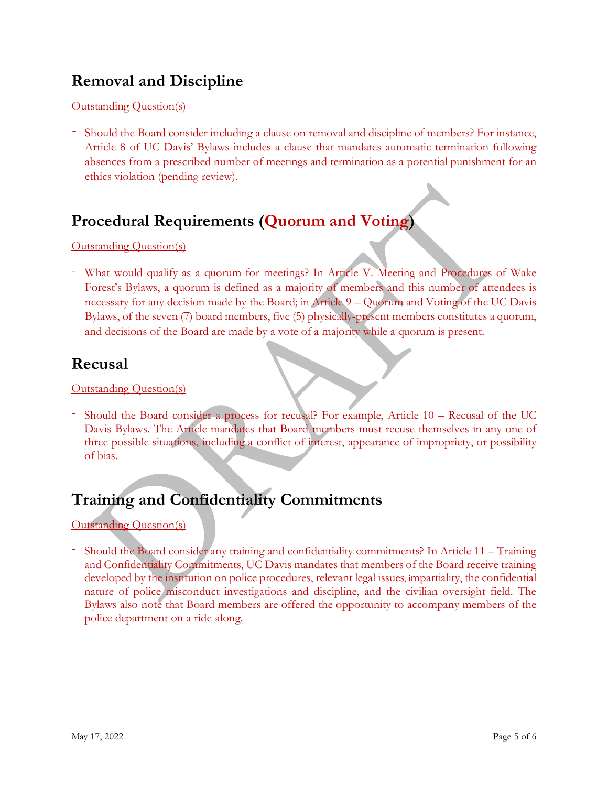### **Removal and Discipline**

Outstanding Question(s)

- Should the Board consider including a clause on removal and discipline of members? For instance, Article 8 of UC Davis' Bylaws includes a clause that mandates automatic termination following absences from a prescribed number of meetings and termination as a potential punishment for an ethics violation (pending review).

### **Procedural Requirements (Quorum and Voting)**

Outstanding Question(s)

- What would qualify as a quorum for meetings? In Article V. Meeting and Procedures of Wake Forest's Bylaws, a quorum is defined as a majority of members and this number of attendees is necessary for any decision made by the Board; in Article 9 – Quorum and Voting of the UC Davis Bylaws, of the seven (7) board members, five (5) physically-present members constitutes a quorum, and decisions of the Board are made by a vote of a majority while a quorum is present.

### **Recusal**

Outstanding Question(s)

- Should the Board consider a process for recusal? For example, Article 10 – Recusal of the UC Davis Bylaws. The Article mandates that Board members must recuse themselves in any one of three possible situations, including a conflict of interest, appearance of impropriety, or possibility of bias.

### **Training and Confidentiality Commitments**

Outstanding Question(s)

- Should the Board consider any training and confidentiality commitments? In Article 11 – Training and Confidentiality Commitments, UC Davis mandates that members of the Board receive training developed by the institution on police procedures, relevant legal issues, impartiality, the confidential nature of police misconduct investigations and discipline, and the civilian oversight field. The Bylaws also note that Board members are offered the opportunity to accompany members of the police department on a ride-along.